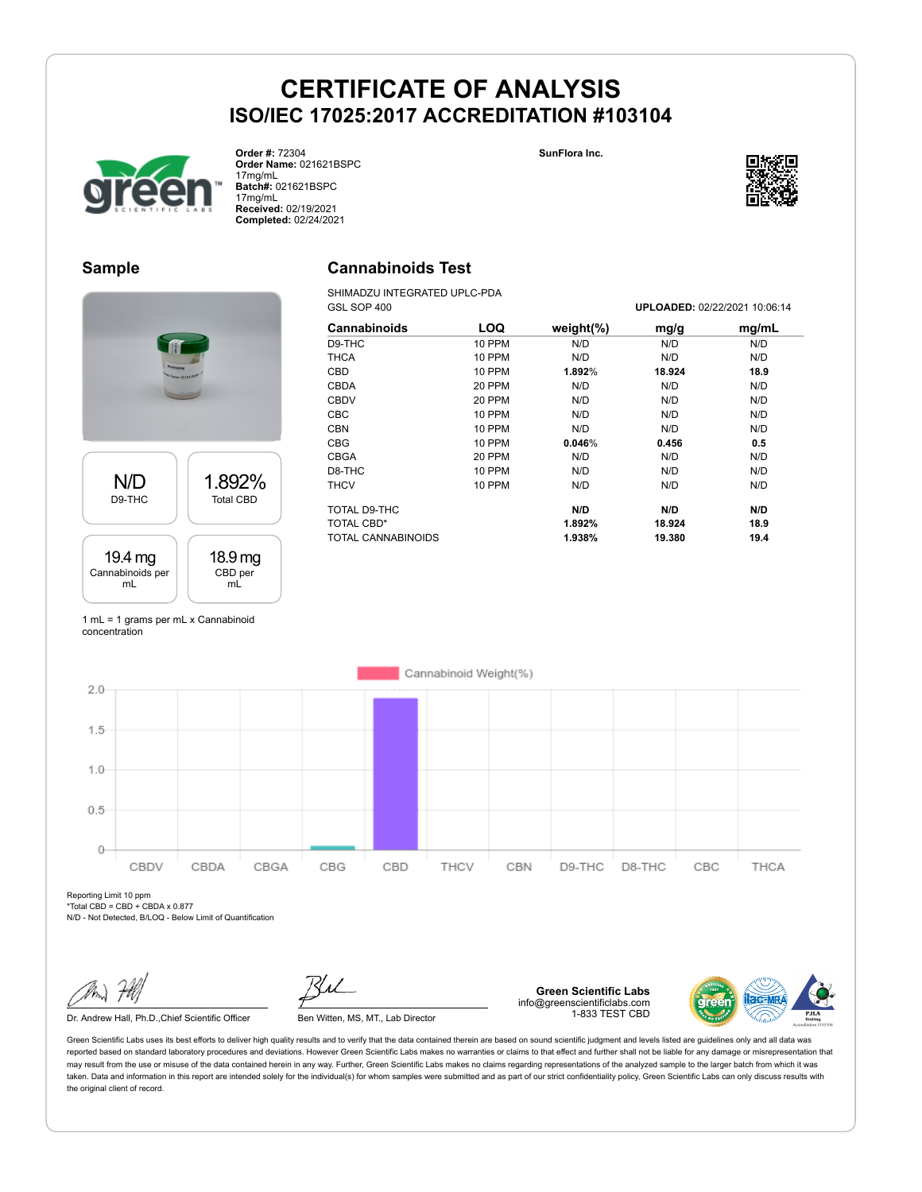**Cannabinoids Test** SHIMADZU INTEGRATED UPLC-PDA **SunFlora Inc.**



**Order #:** 72304 **Order Name:** 021621BSPC 17mg/mL **Batch#:** 021621BSPC 17mg/mL **Received:** 02/19/2021 **Completed:** 02/24/2021



#### **Sample**



| GSL SOP 400        |               |               | UPLOADED: 02/22/2021 10:06:14 |       |  |
|--------------------|---------------|---------------|-------------------------------|-------|--|
| Cannabinoids       | LOQ           | weight $(\%)$ | mg/g                          | mg/mL |  |
| D9-THC             | <b>10 PPM</b> | N/D           | N/D                           | N/D   |  |
| <b>THCA</b>        | <b>10 PPM</b> | N/D           | N/D                           | N/D   |  |
| <b>CBD</b>         | <b>10 PPM</b> | 1.892%        | 18.924                        | 18.9  |  |
| <b>CBDA</b>        | 20 PPM        | N/D           | N/D                           | N/D   |  |
| <b>CBDV</b>        | 20 PPM        | N/D           | N/D                           | N/D   |  |
| <b>CBC</b>         | <b>10 PPM</b> | N/D           | N/D                           | N/D   |  |
| CBN                | <b>10 PPM</b> | N/D           | N/D                           | N/D   |  |
| <b>CBG</b>         | <b>10 PPM</b> | 0.046%        | 0.456                         | 0.5   |  |
| <b>CBGA</b>        | 20 PPM        | N/D           | N/D                           | N/D   |  |
| D8-THC             | 10 PPM        | N/D           | N/D                           | N/D   |  |
| <b>THCV</b>        | <b>10 PPM</b> | N/D           | N/D                           | N/D   |  |
| TOTAL D9-THC       |               | N/D           | N/D                           | N/D   |  |
| TOTAL CBD*         |               | 1.892%        | 18.924                        | 18.9  |  |
| TOTAL CANNABINOIDS |               | 1.938%        | 19.380                        | 19.4  |  |

1 mL = 1 grams per mL x Cannabinoid concentration



Reporting Limit 10 ppm  $*Total CBD = CBD + CBDA \times 0.877$ N/D - Not Detected, B/LOQ - Below Limit of Quantification

Dr. Andrew Hall, Ph.D., Chief Scientific Officer Ben Witten, MS, MT., Lab Director

**Green Scientific Labs** info@greenscientificlabs.com 1-833 TEST CBD

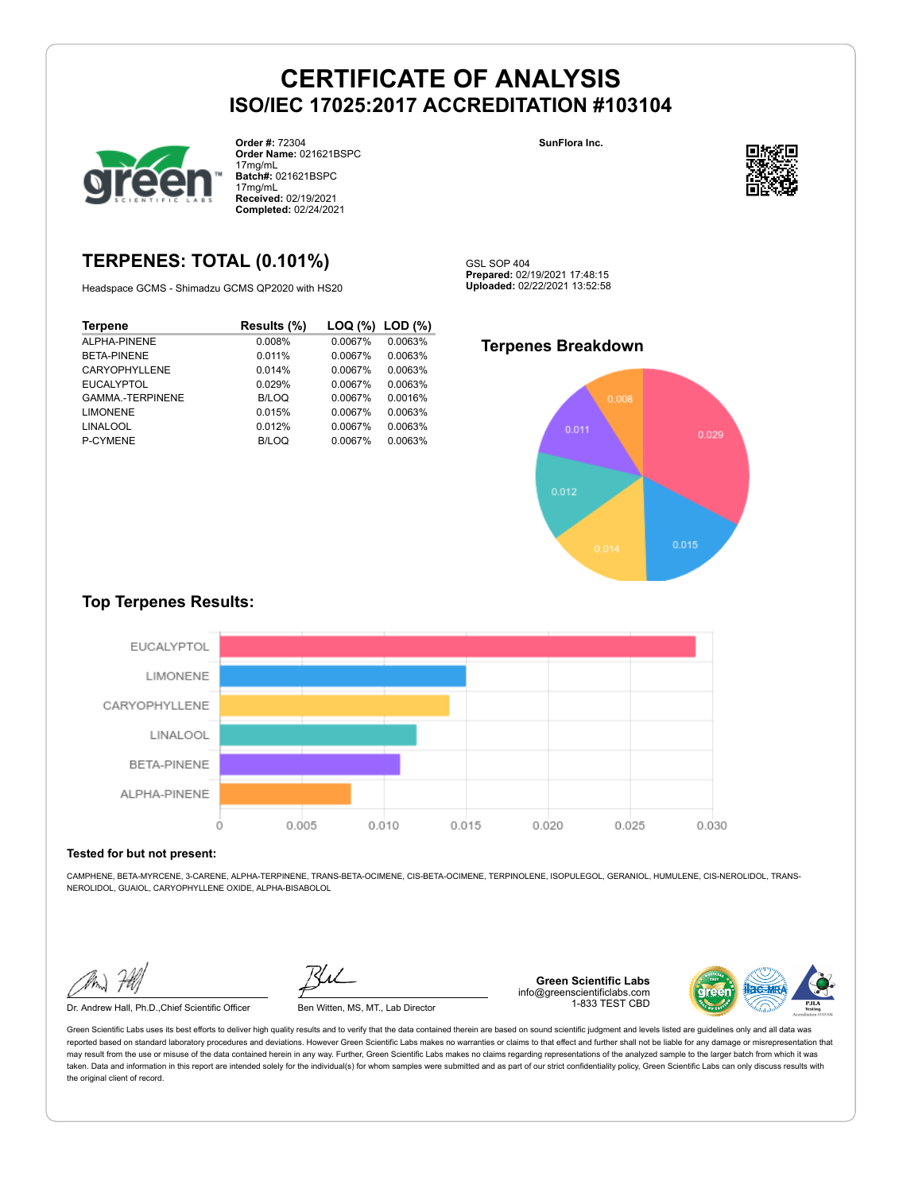

**Order #:** 72304 **Order Name:** 021621BSPC 17mg/mL **Batch#:** 021621BSPC 17mg/mL **Received:** 02/19/2021 **Completed:** 02/24/2021

### **TERPENES: TOTAL (0.101%)**

Headspace GCMS - Shimadzu GCMS QP2020 with HS20

| <b>Terpene</b>         | Results (%)  | LOQ (%) | $LOD (\%)$ |
|------------------------|--------------|---------|------------|
| ALPHA-PINENE           | 0.008%       | 0.0067% | 0.0063%    |
| <b>BETA-PINENE</b>     | 0.011%       | 0.0067% | 0.0063%    |
| <b>CARYOPHYLLENE</b>   | 0.014%       | 0.0067% | 0.0063%    |
| <b>EUCALYPTOL</b>      | 0.029%       | 0.0067% | 0.0063%    |
| <b>GAMMA-TERPINENE</b> | <b>B/LOQ</b> | 0.0067% | 0.0016%    |
| <b>LIMONENE</b>        | 0.015%       | 0.0067% | 0.0063%    |
| <b>LINALOOL</b>        | 0.012%       | 0.0067% | 0.0063%    |
| P-CYMENE               | B/LOQ        | 0.0067% | 0.0063%    |

**SunFlora Inc.**



GSL SOP 404 **Prepared:** 02/19/2021 17:48:15 **Uploaded:** 02/22/2021 13:52:58

### **Terpenes Breakdown**



### **Top Terpenes Results:**



#### **Tested for but not present:**

CAMPHENE, BETA-MYRCENE, 3-CARENE, ALPHA-TERPINENE, TRANS-BETA-OCIMENE, CIS-BETA-OCIMENE, TERPINOLENE, ISOPULEGOL, GERANIOL, HUMULENE, CIS-NEROLIDOL, TRANS-NEROLIDOL, GUAIOL, CARYOPHYLLENE OXIDE, ALPHA-BISABOLOL

Dr. Andrew Hall, Ph.D.,Chief Scientific Officer Ben Witten, MS, MT., Lab Director

**Green Scientific Labs** info@greenscientificlabs.com 1-833 TEST CBD

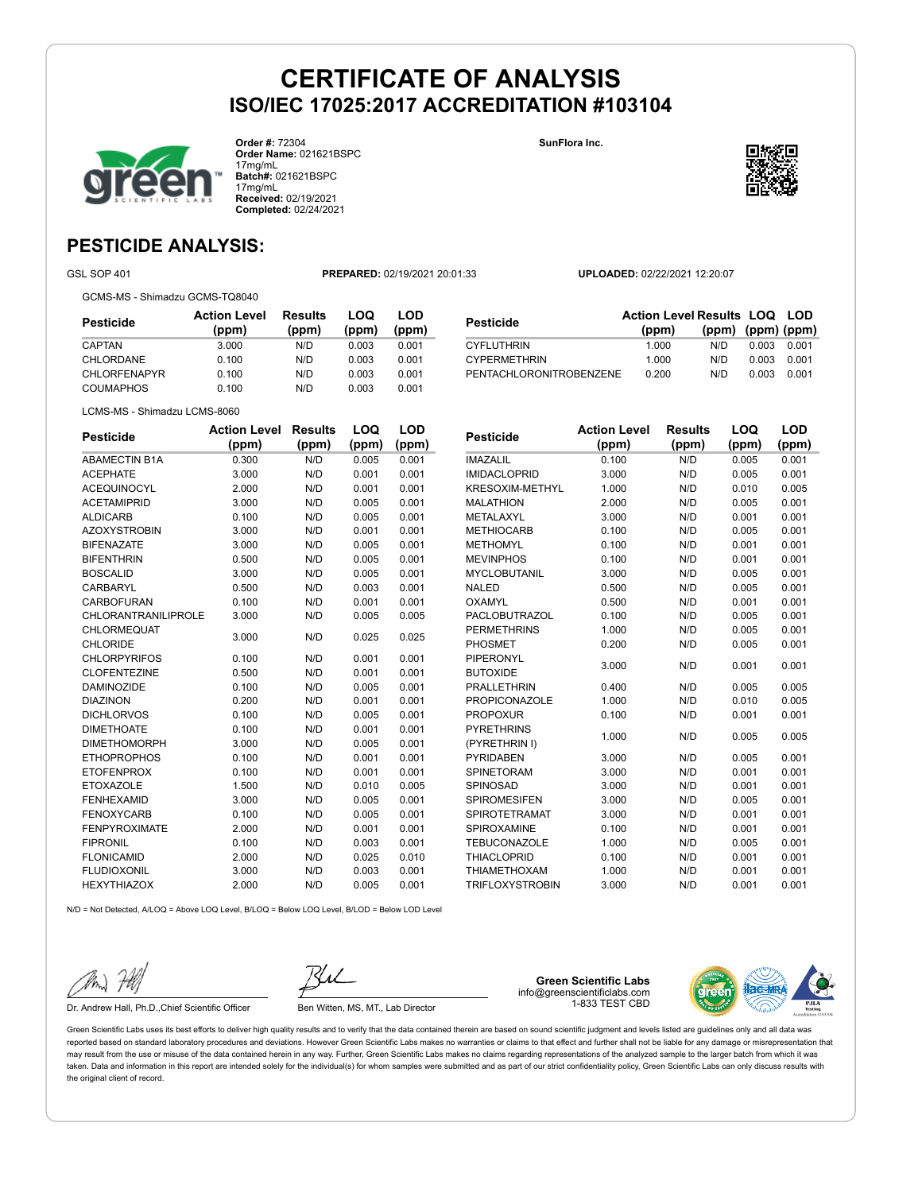

**Order #:** 72304 **Order Name:** 021621BSPC 17mg/mL **Batch#:** 021621BSPC 17mg/mL **Received:** 02/19/2021 **Completed:** 02/24/2021

**SunFlora Inc.**



### **PESTICIDE ANALYSIS:**

GSL SOP 401 **PREPARED:** 02/19/2021 20:01:33 **UPLOADED:** 02/22/2021 12:20:07

GCMS-MS - Shimadzu GCMS-TQ8040

| Pesticide        | <b>Action Level</b><br>(ppm) | Results<br>(ppm) | LOQ<br>(ppm) | LOD<br>(ppm) |  |
|------------------|------------------------------|------------------|--------------|--------------|--|
| CAPTAN           | 3.000                        | N/D              | 0.003        | 0.001        |  |
| <b>CHLORDANE</b> | 0.100                        | N/D              | 0.003        | 0.001        |  |
| CHLORFENAPYR     | 0.100                        | N/D              | 0.003        | 0.001        |  |
| COUMAPHOS        | 0.100                        | N/D              | 0.003        | 0.001        |  |
|                  |                              |                  |              |              |  |

| Pesticide               | <b>Action Level Results LOQ LOD</b> |                   |       |       |
|-------------------------|-------------------------------------|-------------------|-------|-------|
|                         | (ppm)                               | (ppm) (ppm) (ppm) |       |       |
| CYFLUTHRIN              | 1.000                               | N/D               | 0.003 | 0.001 |
| <b>CYPERMETHRIN</b>     | 1.000                               | N/D               | 0.003 | 0.001 |
| PENTACHLORONITROBENZENE | 0.200                               | N/D               | 0.003 | 0.001 |
|                         |                                     |                   |       |       |

LCMS-MS - Shimadzu LCMS-8060

| <b>Pesticide</b>           | <b>Action Level</b> | <b>Results</b> | LOQ   | <b>LOD</b> |
|----------------------------|---------------------|----------------|-------|------------|
|                            | (ppm)               | (ppm)          | (ppm) | (ppm)      |
| <b>ABAMECTIN B1A</b>       | 0.300               | N/D            | 0.005 | 0.001      |
| <b>ACEPHATE</b>            | 3.000               | N/D            | 0.001 | 0.001      |
| <b>ACEQUINOCYL</b>         | 2.000               | N/D            | 0.001 | 0.001      |
| <b>ACETAMIPRID</b>         | 3.000               | N/D            | 0.005 | 0.001      |
| <b>ALDICARB</b>            | 0.100               | N/D            | 0.005 | 0.001      |
| <b>AZOXYSTROBIN</b>        | 3.000               | N/D            | 0.001 | 0.001      |
| <b>BIFENAZATE</b>          | 3.000               | N/D            | 0.005 | 0.001      |
| <b>BIFENTHRIN</b>          | 0.500               | N/D            | 0.005 | 0.001      |
| <b>BOSCALID</b>            | 3.000               | N/D            | 0.005 | 0.001      |
| <b>CARBARYL</b>            | 0.500               | N/D            | 0.003 | 0.001      |
| <b>CARBOFURAN</b>          | 0.100               | N/D            | 0.001 | 0.001      |
| <b>CHLORANTRANILIPROLE</b> | 3.000               | N/D            | 0.005 | 0.005      |
| CHLORMEQUAT                | 3.000               | N/D            | 0.025 | 0.025      |
| <b>CHLORIDE</b>            |                     |                |       |            |
| <b>CHLORPYRIFOS</b>        | 0.100               | N/D            | 0.001 | 0.001      |
| <b>CLOFENTEZINE</b>        | 0.500               | N/D            | 0.001 | 0.001      |
| <b>DAMINOZIDE</b>          | 0.100               | N/D            | 0.005 | 0.001      |
| <b>DIAZINON</b>            | 0.200               | N/D            | 0.001 | 0.001      |
| <b>DICHLORVOS</b>          | 0.100               | N/D            | 0.005 | 0.001      |
| <b>DIMETHOATE</b>          | 0.100               | N/D            | 0.001 | 0.001      |
| <b>DIMETHOMORPH</b>        | 3.000               | N/D            | 0.005 | 0.001      |
| <b>ETHOPROPHOS</b>         | 0.100               | N/D            | 0.001 | 0.001      |
| <b>ETOFENPROX</b>          | 0.100               | N/D            | 0.001 | 0.001      |
| <b>ETOXAZOLE</b>           | 1.500               | N/D            | 0.010 | 0.005      |
| <b>FENHEXAMID</b>          | 3.000               | N/D            | 0.005 | 0.001      |
| <b>FENOXYCARB</b>          | 0.100               | N/D            | 0.005 | 0.001      |
| <b>FENPYROXIMATE</b>       | 2.000               | N/D            | 0.001 | 0.001      |
| <b>FIPRONIL</b>            | 0.100               | N/D            | 0.003 | 0.001      |
| <b>FLONICAMID</b>          | 2.000               | N/D            | 0.025 | 0.010      |
| <b>FLUDIOXONIL</b>         | 3.000               | N/D            | 0.003 | 0.001      |
| <b>HEXYTHIAZOX</b>         | 2.000               | N/D            | 0.005 | 0.001      |
|                            |                     |                |       |            |

| <b>Pesticide</b>     | <b>Action Level</b> | <b>Results</b> | LOQ   | LOD   |
|----------------------|---------------------|----------------|-------|-------|
|                      | (ppm)               | (ppm)          | (ppm) | (ppm) |
| <b>IMAZALIL</b>      | 0.100               | N/D            | 0.005 | 0.001 |
| <b>IMIDACLOPRID</b>  | 3.000               | N/D            | 0.005 | 0.001 |
| KRESOXIM-METHYL      | 1.000               | N/D            | 0.010 | 0.005 |
| <b>MALATHION</b>     | 2.000               | N/D            | 0.005 | 0.001 |
| METALAXYL            | 3.000               | N/D            | 0.001 | 0.001 |
| <b>METHIOCARB</b>    | 0.100               | N/D            | 0.005 | 0.001 |
| <b>METHOMYL</b>      | 0.100               | N/D            | 0.001 | 0.001 |
| <b>MEVINPHOS</b>     | 0.100               | N/D            | 0.001 | 0.001 |
| <b>MYCLOBUTANIL</b>  | 3.000               | N/D            | 0.005 | 0.001 |
| <b>NALED</b>         | 0.500               | N/D            | 0.005 | 0.001 |
| OXAMYL               | 0.500               | N/D            | 0.001 | 0.001 |
| <b>PACLOBUTRAZOL</b> | 0.100               | N/D            | 0.005 | 0.001 |
| <b>PERMETHRINS</b>   | 1.000               | N/D            | 0.005 | 0.001 |
| PHOSMET              | 0.200               | N/D            | 0.005 | 0.001 |
| <b>PIPERONYL</b>     | 3.000               | N/D            | 0.001 | 0.001 |
| <b>BUTOXIDE</b>      |                     |                |       |       |
| <b>PRALLETHRIN</b>   | 0.400               | N/D            | 0.005 | 0.005 |
| <b>PROPICONAZOLE</b> | 1.000               | N/D            | 0.010 | 0.005 |
| <b>PROPOXUR</b>      | 0.100               | N/D            | 0.001 | 0.001 |
| <b>PYRETHRINS</b>    | 1.000               | N/D            | 0.005 | 0.005 |
| (PYRETHRIN I)        |                     |                |       |       |
| <b>PYRIDABEN</b>     | 3.000               | N/D            | 0.005 | 0.001 |
| <b>SPINETORAM</b>    | 3.000               | N/D            | 0.001 | 0.001 |
| SPINOSAD             | 3.000               | N/D            | 0.001 | 0.001 |
| <b>SPIROMESIFEN</b>  | 3.000               | N/D            | 0.005 | 0.001 |
| <b>SPIROTETRAMAT</b> | 3.000               | N/D            | 0.001 | 0.001 |
| <b>SPIROXAMINE</b>   | 0.100               | N/D            | 0.001 | 0.001 |
| <b>TEBUCONAZOLE</b>  | 1.000               | N/D            | 0.005 | 0.001 |
| <b>THIACLOPRID</b>   | 0.100               | N/D            | 0.001 | 0.001 |
| <b>THIAMETHOXAM</b>  | 1.000               | N/D            | 0.001 | 0.001 |
| TRIFLOXYSTROBIN      | 3.000               | N/D            | 0.001 | 0.001 |

N/D = Not Detected, A/LOQ = Above LOQ Level, B/LOQ = Below LOQ Level, B/LOD = Below LOD Level

Dr. Andrew Hall, Ph.D., Chief Scientific Officer Ben Witten, MS, MT., Lab Director

**Green Scientific Labs** info@greenscientificlabs.com 1-833 TEST CBD

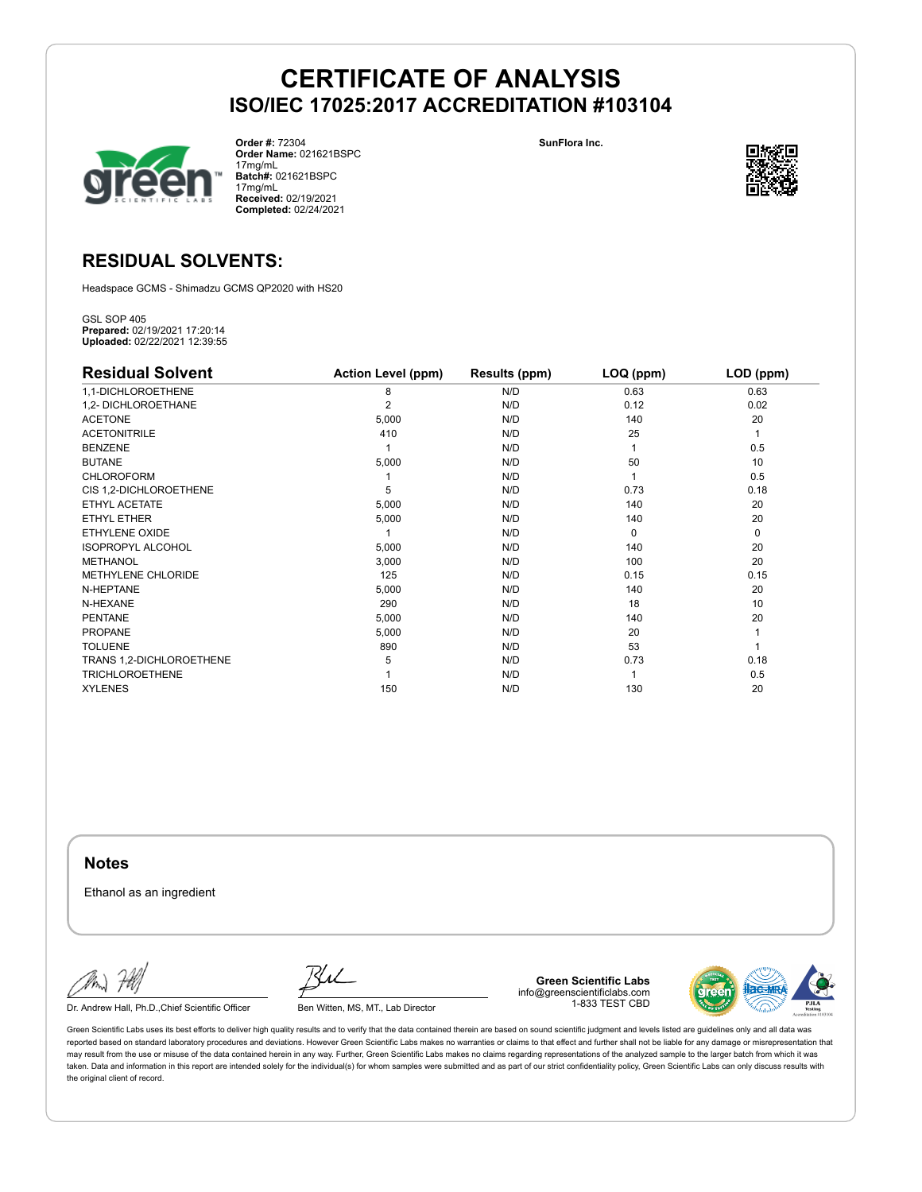

**Order #:** 72304 **Order Name:** 021621BSPC 17mg/mL **Batch#:** 021621BSPC 17mg/mL **Received:** 02/19/2021 **Completed:** 02/24/2021

**SunFlora Inc.**



### **RESIDUAL SOLVENTS:**

Headspace GCMS - Shimadzu GCMS QP2020 with HS20

GSL SOP 405 **Prepared:** 02/19/2021 17:20:14 **Uploaded:** 02/22/2021 12:39:55

| <b>Residual Solvent</b>   | <b>Action Level (ppm)</b> | Results (ppm) | LOQ (ppm) | LOD (ppm) |
|---------------------------|---------------------------|---------------|-----------|-----------|
| 1,1-DICHLOROETHENE        | 8                         | N/D           | 0.63      | 0.63      |
| 1,2- DICHLOROETHANE       | 2                         | N/D           | 0.12      | 0.02      |
| <b>ACETONE</b>            | 5,000                     | N/D           | 140       | 20        |
| <b>ACETONITRILE</b>       | 410                       | N/D           | 25        | 1         |
| <b>BENZENE</b>            |                           | N/D           |           | 0.5       |
| <b>BUTANE</b>             | 5,000                     | N/D           | 50        | 10        |
| <b>CHLOROFORM</b>         |                           | N/D           |           | 0.5       |
| CIS 1,2-DICHLOROETHENE    | 5                         | N/D           | 0.73      | 0.18      |
| ETHYL ACETATE             | 5,000                     | N/D           | 140       | 20        |
| <b>ETHYL ETHER</b>        | 5,000                     | N/D           | 140       | 20        |
| ETHYLENE OXIDE            |                           | N/D           | $\Omega$  | 0         |
| <b>ISOPROPYL ALCOHOL</b>  | 5,000                     | N/D           | 140       | 20        |
| <b>METHANOL</b>           | 3,000                     | N/D           | 100       | 20        |
| <b>METHYLENE CHLORIDE</b> | 125                       | N/D           | 0.15      | 0.15      |
| N-HEPTANE                 | 5,000                     | N/D           | 140       | 20        |
| N-HEXANE                  | 290                       | N/D           | 18        | 10        |
| <b>PENTANE</b>            | 5,000                     | N/D           | 140       | 20        |
| <b>PROPANE</b>            | 5,000                     | N/D           | 20        |           |
| <b>TOLUENE</b>            | 890                       | N/D           | 53        |           |
| TRANS 1,2-DICHLOROETHENE  | 5                         | N/D           | 0.73      | 0.18      |
| <b>TRICHLOROETHENE</b>    |                           | N/D           |           | 0.5       |
| <b>XYLENES</b>            | 150                       | N/D           | 130       | 20        |

**Notes**

Ethanol as an ingredient

Dr. Andrew Hall, Ph.D., Chief Scientific Officer Ben Witten, MS, MT., Lab Director

**Green Scientific Labs** info@greenscientificlabs.com 1-833 TEST CBD

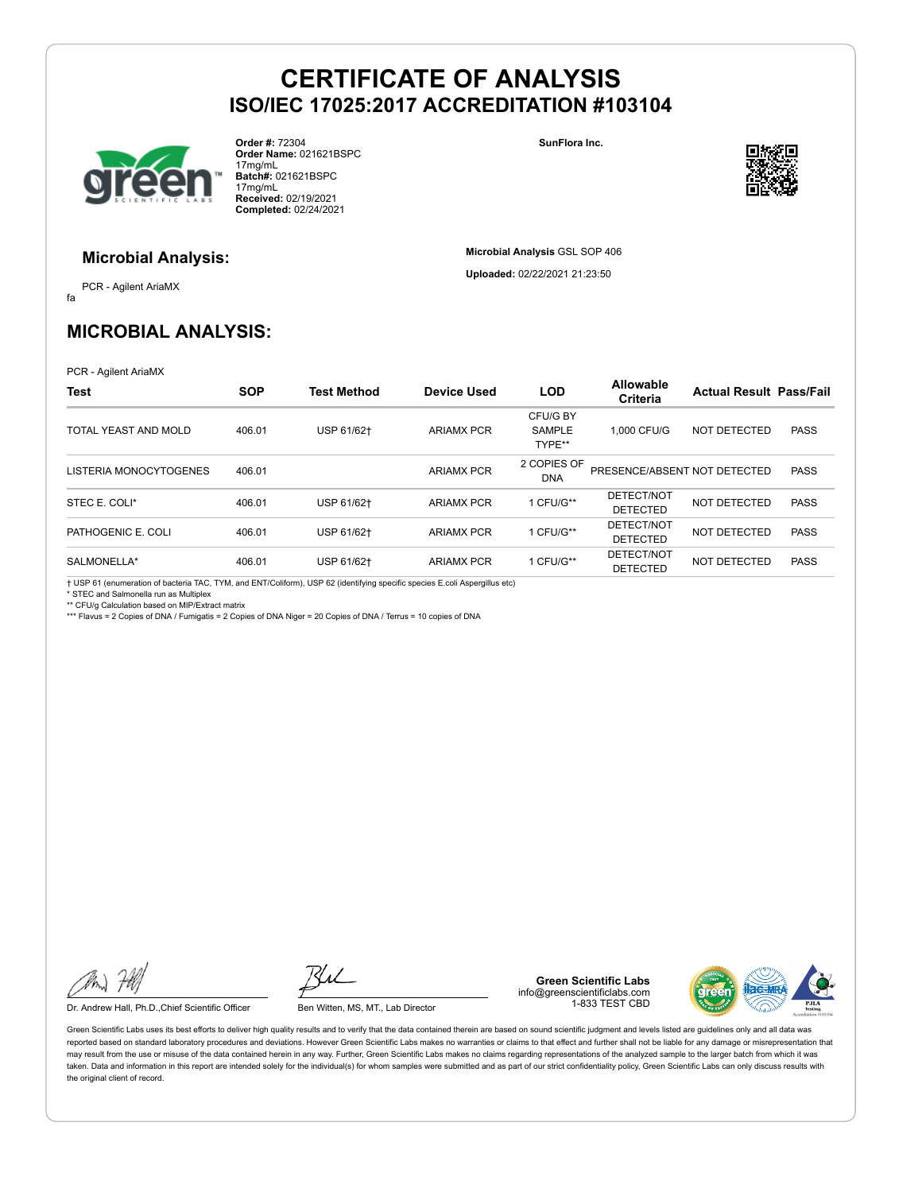

**Order #:** 72304 **Order Name:** 021621BSPC 17mg/mL **Batch#:** 021621BSPC 17mg/mL **Received:** 02/19/2021 **Completed:** 02/24/2021

**SunFlora Inc.**

**Microbial Analysis** GSL SOP 406 **Uploaded:** 02/22/2021 21:23:50



#### **Microbial Analysis:**

fa PCR - Agilent AriaMX

### **MICROBIAL ANALYSIS:**

PCR - Agilent AriaMX

| Test                   | <b>SOP</b> | <b>Test Method</b> | <b>Device Used</b> | <b>LOD</b>                          | Allowable<br><b>Criteria</b>  | <b>Actual Result Pass/Fail</b> |             |
|------------------------|------------|--------------------|--------------------|-------------------------------------|-------------------------------|--------------------------------|-------------|
| TOTAL YEAST AND MOLD   | 406.01     | USP 61/62+         | ARIAMX PCR         | CFU/G BY<br><b>SAMPLE</b><br>TYPE** | 1.000 CFU/G                   | NOT DETECTED                   | <b>PASS</b> |
| LISTERIA MONOCYTOGENES | 406.01     |                    | <b>ARIAMX PCR</b>  | 2 COPIES OF<br>DNA                  | PRESENCE/ABSENT NOT DETECTED  |                                | <b>PASS</b> |
| STEC E. COLI*          | 406.01     | USP 61/62+         | <b>ARIAMX PCR</b>  | 1 CFU/G**                           | DETECT/NOT<br><b>DETECTED</b> | NOT DETECTED                   | <b>PASS</b> |
| PATHOGENIC E. COLI     | 406.01     | USP 61/62+         | <b>ARIAMX PCR</b>  | 1 CFU/G**                           | DETECT/NOT<br><b>DETECTED</b> | NOT DETECTED                   | <b>PASS</b> |
| SALMONELLA*            | 406.01     | USP 61/62+         | <b>ARIAMX PCR</b>  | 1 CFU/G**                           | DETECT/NOT<br><b>DETECTED</b> | NOT DETECTED                   | <b>PASS</b> |

† USP 61 (enumeration of bacteria TAC, TYM, and ENT/Coliform), USP 62 (identifying specific species E.coli Aspergillus etc)

\* STEC and Salmonella run as Multiplex \*\* CFU/g Calculation based on MIP/Extract matrix

\*\*\* Flavus = 2 Copies of DNA / Fumigatis = 2 Copies of DNA Niger = 20 Copies of DNA / Terrus = 10 copies of DNA

Dr. Andrew Hall, Ph.D., Chief Scientific Officer Ben Witten, MS, MT., Lab Director

**Green Scientific Labs** info@greenscientificlabs.com 1-833 TEST CBD